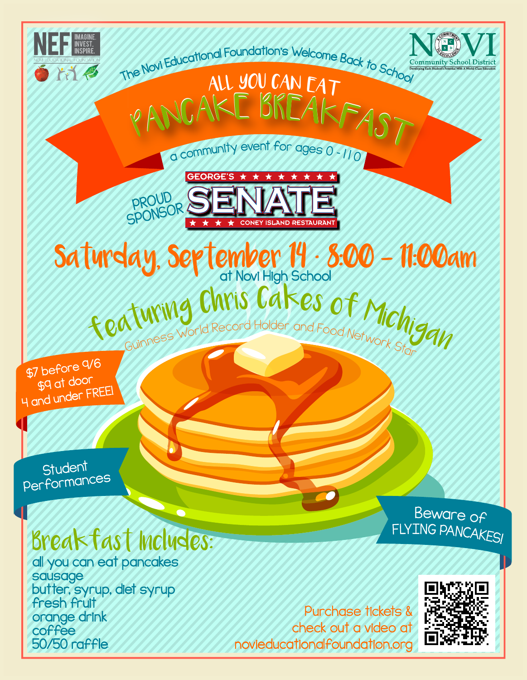

orange drink

50/50 raffle

coffee

check out a video at novieducationalfoundation.org